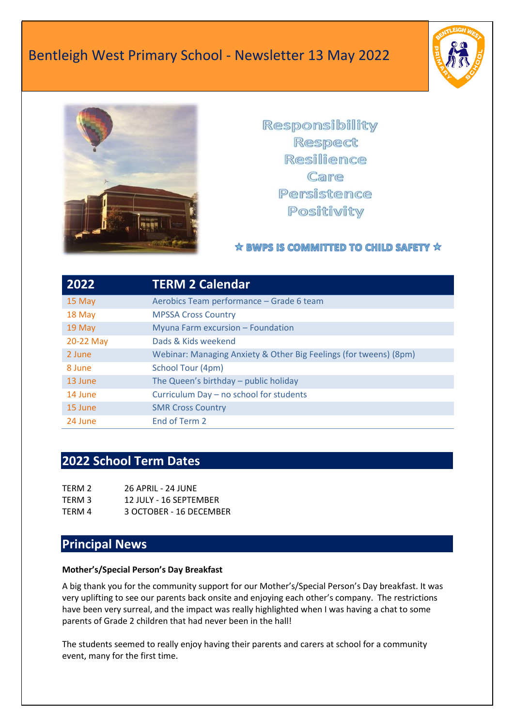



Responsibility Respect Resilience Care Persistence Positivity

### ☆ BWPS IS COMMITTED TO CHILD SAFETY ☆

| 2022      | <b>TERM 2 Calendar</b>                                            |
|-----------|-------------------------------------------------------------------|
| 15 May    | Aerobics Team performance - Grade 6 team                          |
| 18 May    | <b>MPSSA Cross Country</b>                                        |
| 19 May    | Myuna Farm excursion - Foundation                                 |
| 20-22 May | Dads & Kids weekend                                               |
| 2 June    | Webinar: Managing Anxiety & Other Big Feelings (for tweens) (8pm) |
| 8 June    | School Tour (4pm)                                                 |
| 13 June   | The Queen's birthday – public holiday                             |
| 14 June   | Curriculum Day - no school for students                           |
| 15 June   | <b>SMR Cross Country</b>                                          |
| 24 June   | End of Term 2                                                     |

### **2022 School Term Dates**

| TERM 2 | <b>26 APRIL - 24 JUNE</b> |
|--------|---------------------------|
| TERM 3 | 12 JULY - 16 SEPTEMBER    |
| TERM 4 | 3 OCTOBER - 16 DECEMBER   |

### **Principal News**

#### **Mother's/Special Person's Day Breakfast**

A big thank you for the community support for our Mother's/Special Person's Day breakfast. It was very uplifting to see our parents back onsite and enjoying each other's company. The restrictions have been very surreal, and the impact was really highlighted when I was having a chat to some parents of Grade 2 children that had never been in the hall!

The students seemed to really enjoy having their parents and carers at school for a community event, many for the first time.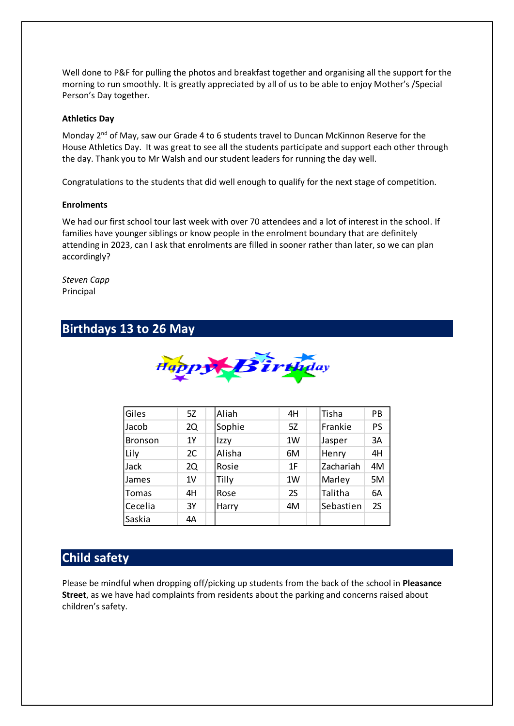Well done to P&F for pulling the photos and breakfast together and organising all the support for the morning to run smoothly. It is greatly appreciated by all of us to be able to enjoy Mother's /Special Person's Day together.

#### **Athletics Day**

Monday 2<sup>nd</sup> of May, saw our Grade 4 to 6 students travel to Duncan McKinnon Reserve for the House Athletics Day. It was great to see all the students participate and support each other through the day. Thank you to Mr Walsh and our student leaders for running the day well.

Congratulations to the students that did well enough to qualify for the next stage of competition.

#### **Enrolments**

We had our first school tour last week with over 70 attendees and a lot of interest in the school. If families have younger siblings or know people in the enrolment boundary that are definitely attending in 2023, can I ask that enrolments are filled in sooner rather than later, so we can plan accordingly?

*Steven Capp* Principal

### **Birthdays 13 to 26 May**



| Giles          | 5Z             | Aliah  | 4H | Tisha     | <b>PB</b> |
|----------------|----------------|--------|----|-----------|-----------|
| Jacob          | 2Q             | Sophie | 5Z | Frankie   | <b>PS</b> |
| <b>Bronson</b> | 1Y             | Izzy   | 1W | Jasper    | 3A        |
| Lily           | 2C             | Alisha | 6M | Henry     | 4H        |
| Jack           | 2Q             | Rosie  | 1F | Zachariah | 4M        |
| James          | 1 <sub>V</sub> | Tilly  | 1W | Marley    | 5M        |
| Tomas          | 4H             | Rose   | 2S | Talitha   | 6A        |
| Cecelia        | 3Y             | Harry  | 4M | Sebastien | 2S        |
| Saskia         | 4A             |        |    |           |           |

### **Child safety**

Please be mindful when dropping off/picking up students from the back of the school in **Pleasance Street**, as we have had complaints from residents about the parking and concerns raised about children's safety.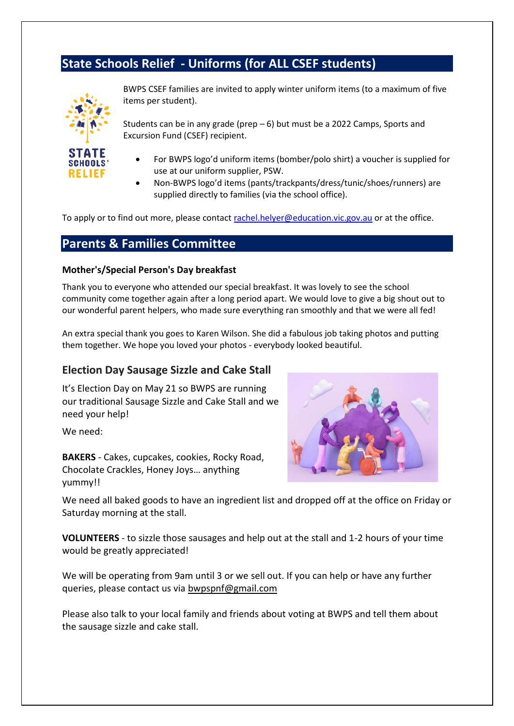## **State Schools Relief - Uniforms (for ALL CSEF students)**



BWPS CSEF families are invited to apply winter uniform items (to a maximum of five items per student).

Students can be in any grade (prep – 6) but must be a 2022 Camps, Sports and Excursion Fund (CSEF) recipient.

- For BWPS logo'd uniform items (bomber/polo shirt) a voucher is supplied for use at our uniform supplier, PSW.
- Non-BWPS logo'd items (pants/trackpants/dress/tunic/shoes/runners) are supplied directly to families (via the school office).

To apply or to find out more, please contac[t rachel.helyer@education.vic.gov.au](mailto:rachel.helyer@education.vic.gov.au) or at the office.

### **Parents & Families Committee**

#### **Mother's/Special Person's Day breakfast**

Thank you to everyone who attended our special breakfast. It was lovely to see the school community come together again after a long period apart. We would love to give a big shout out to our wonderful parent helpers, who made sure everything ran smoothly and that we were all fed!

An extra special thank you goes to Karen Wilson. She did a fabulous job taking photos and putting them together. We hope you loved your photos - everybody looked beautiful.

#### **Election Day Sausage Sizzle and Cake Stall**

It's Election Day on May 21 so BWPS are running our traditional Sausage Sizzle and Cake Stall and we need your help!

We need:

**BAKERS** - Cakes, cupcakes, cookies, Rocky Road, Chocolate Crackles, Honey Joys… anything yummy!!



We need all baked goods to have an ingredient list and dropped off at the office on Friday or Saturday morning at the stall.

**VOLUNTEERS** - to sizzle those sausages and help out at the stall and 1-2 hours of your time would be greatly appreciated!

We will be operating from 9am until 3 or we sell out. If you can help or have any further queries, please contact us via [bwpspnf@gmail.com](mailto:bwpspnf@gmail.com)

Please also talk to your local family and friends about voting at BWPS and tell them about the sausage sizzle and cake stall.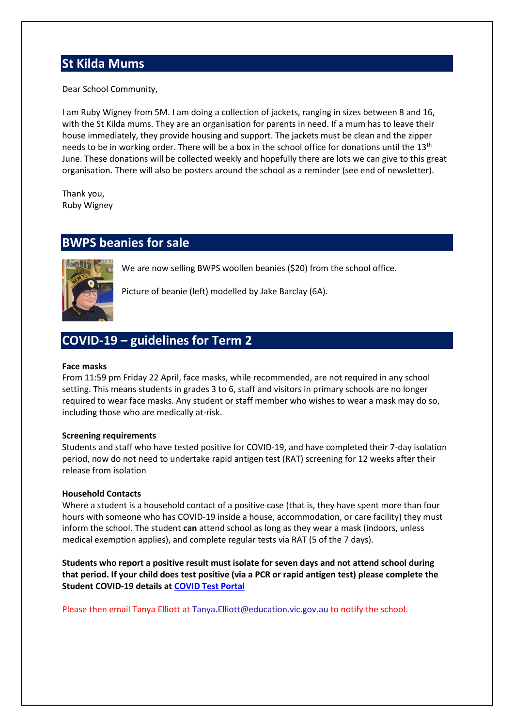### **St Kilda Mums**

Dear School Community,

I am Ruby Wigney from 5M. I am doing a collection of jackets, ranging in sizes between 8 and 16, with the St Kilda mums. They are an organisation for parents in need. If a mum has to leave their house immediately, they provide housing and support. The jackets must be clean and the zipper needs to be in working order. There will be a box in the school office for donations until the 13<sup>th</sup> June. These donations will be collected weekly and hopefully there are lots we can give to this great organisation. There will also be posters around the school as a reminder (see end of newsletter).

Thank you, Ruby Wigney

# **BWPS beanies for sale**



We are now selling BWPS woollen beanies (\$20) from the school office.

Picture of beanie (left) modelled by Jake Barclay (6A).

### **COVID-19 – guidelines for Term 2**

#### **Face masks**

From 11:59 pm Friday 22 April, face masks, while recommended, are not required in any school setting. This means students in grades 3 to 6, staff and visitors in primary schools are no longer required to wear face masks. Any student or staff member who wishes to wear a mask may do so, including those who are medically at-risk.

#### **Screening requirements**

Students and staff who have tested positive for COVID-19, and have completed their 7-day isolation period, now do not need to undertake rapid antigen test (RAT) screening for 12 weeks after their release from isolation

#### **Household Contacts**

Where a student is a household contact of a positive case (that is, they have spent more than four hours with someone who has COVID-19 inside a house, accommodation, or care facility) they must inform the school. The student **can** attend school as long as they wear a mask (indoors, unless medical exemption applies), and complete regular tests via RAT (5 of the 7 days).

**Students who report a positive result must isolate for seven days and not attend school during that period. If your child does test positive (via a PCR or rapid antigen test) please complete the Student COVID-19 details at [COVID Test Portal](https://covidtest.educationapps.vic.gov.au/)**

Please then email Tanya Elliott at Tanya. Elliott@education.vic.gov.au to notify the school.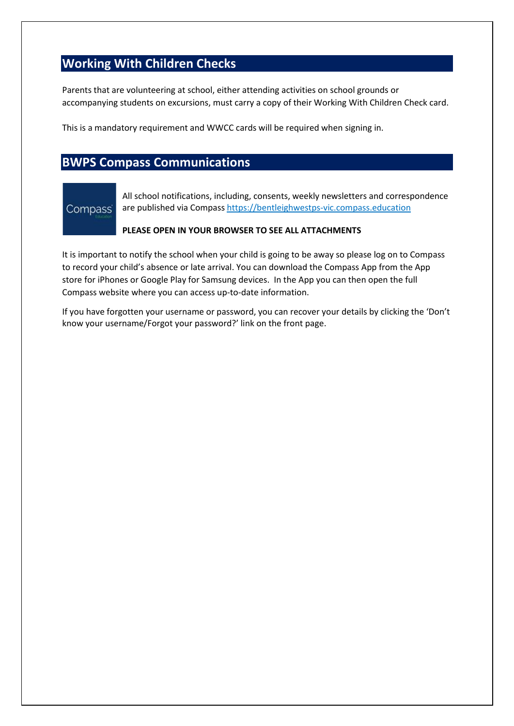# **Working With Children Checks**

Parents that are volunteering at school, either attending activities on school grounds or accompanying students on excursions, must carry a copy of their Working With Children Check card.

This is a mandatory requirement and WWCC cards will be required when signing in.

### **BWPS Compass Communications**

# Compass<sup>®</sup>

All school notifications, including, consents, weekly newsletters and correspondence are published via Compass [https://bentleighwestps-vic.compass.education](https://bentleighwestps-vic.compass.education/)

#### **PLEASE OPEN IN YOUR BROWSER TO SEE ALL ATTACHMENTS**

It is important to notify the school when your child is going to be away so please log on to Compass to record your child's absence or late arrival. You can download the Compass App from the App store for iPhones or Google Play for Samsung devices. In the App you can then open the full Compass website where you can access up-to-date information.

If you have forgotten your username or password, you can recover your details by clicking the 'Don't know your username/Forgot your password?' link on the front page.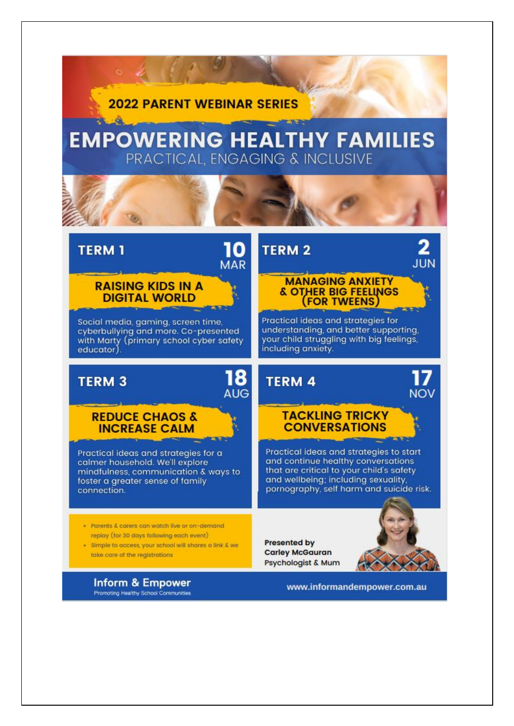